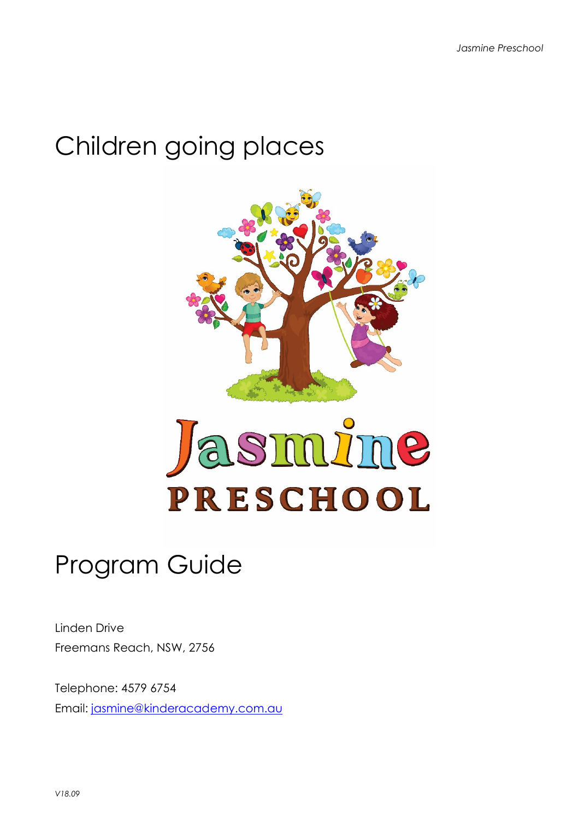# Children going places



# Program Guide

Linden Drive Freemans Reach, NSW, 2756

Telephone: 4579 6754 Email: jasmine@kinderacademy.com.au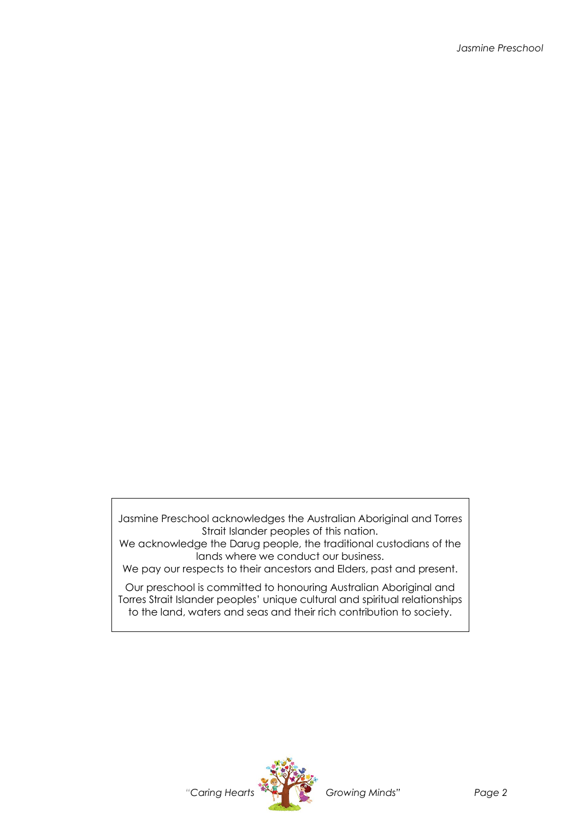Jasmine Preschool acknowledges the Australian Aboriginal and Torres Strait Islander peoples of this nation.

We acknowledge the Darug people, the traditional custodians of the lands where we conduct our business.

We pay our respects to their ancestors and Elders, past and present.

Our preschool is committed to honouring Australian Aboriginal and Torres Strait Islander peoples' unique cultural and spiritual relationships to the land, waters and seas and their rich contribution to society.

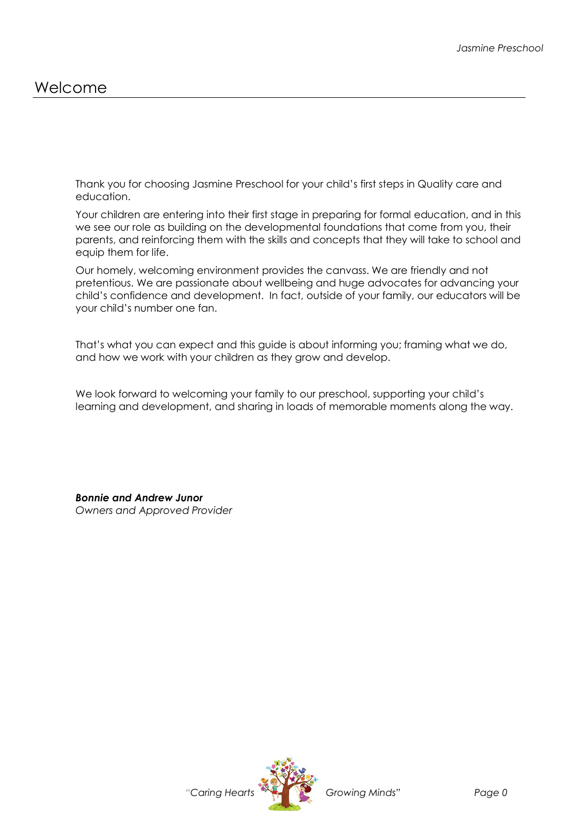## Welcome

Thank you for choosing Jasmine Preschool for your child's first steps in Quality care and education.

Your children are entering into their first stage in preparing for formal education, and in this we see our role as building on the developmental foundations that come from you, their parents, and reinforcing them with the skills and concepts that they will take to school and equip them for life.

Our homely, welcoming environment provides the canvass. We are friendly and not pretentious. We are passionate about wellbeing and huge advocates for advancing your child's confidence and development. In fact, outside of your family, our educators will be your child's number one fan.

That's what you can expect and this guide is about informing you; framing what we do, and how we work with your children as they grow and develop.

We look forward to welcoming your family to our preschool, supporting your child's learning and development, and sharing in loads of memorable moments along the way.

*Bonnie and Andrew Junor Owners and Approved Provider*

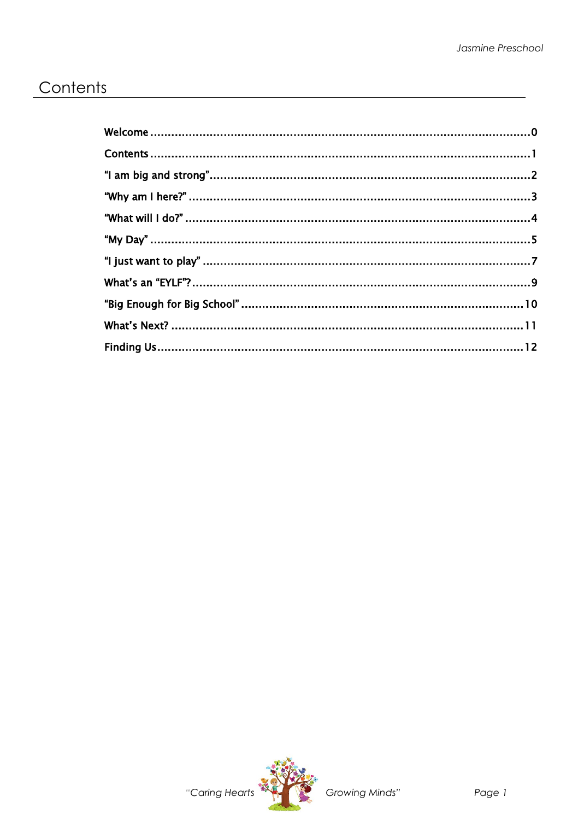# Contents

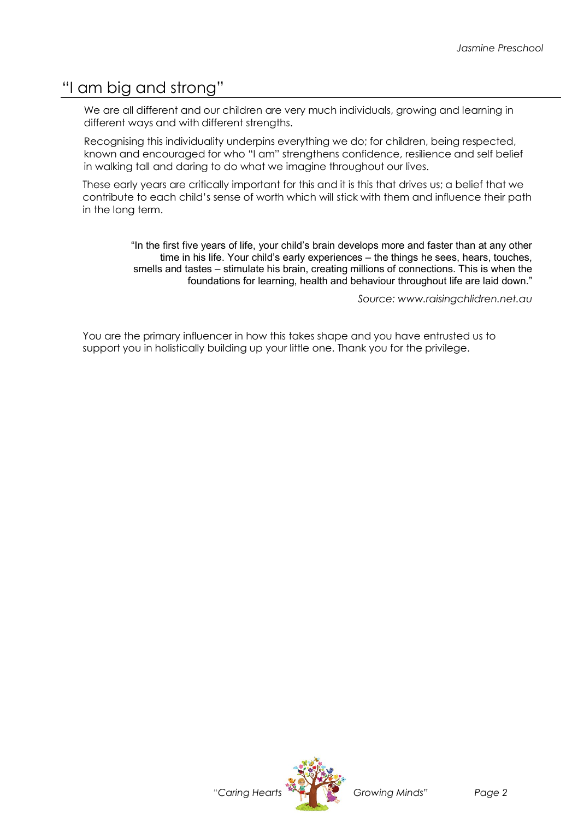# "I am big and strong"

We are all different and our children are very much individuals, growing and learning in different ways and with different strengths.

Recognising this individuality underpins everything we do; for children, being respected, known and encouraged for who "I am" strengthens confidence, resilience and self belief in walking tall and daring to do what we imagine throughout our lives.

These early years are critically important for this and it is this that drives us; a belief that we contribute to each child's sense of worth which will stick with them and influence their path in the long term.

> "In the first five years of life, your child's brain develops more and faster than at any other time in his life. Your child's early experiences – the things he sees, hears, touches, smells and tastes – stimulate his brain, creating millions of connections. This is when the foundations for learning, health and behaviour throughout life are laid down."

> > *Source: www.raisingchlidren.net.au*

You are the primary influencer in how this takes shape and you have entrusted us to support you in holistically building up your little one. Thank you for the privilege.

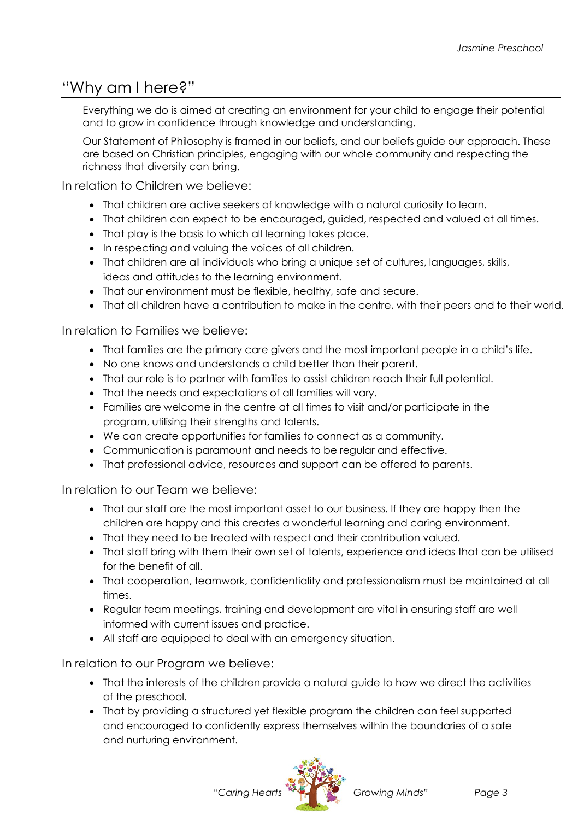# "Why am I here?"

Everything we do is aimed at creating an environment for your child to engage their potential and to grow in confidence through knowledge and understanding.

Our Statement of Philosophy is framed in our beliefs, and our beliefs guide our approach. These are based on Christian principles, engaging with our whole community and respecting the richness that diversity can bring.

In relation to Children we believe:

- That children are active seekers of knowledge with a natural curiosity to learn.
- That children can expect to be encouraged, guided, respected and valued at all times.
- That play is the basis to which all learning takes place.
- In respecting and valuing the voices of all children.
- That children are all individuals who bring a unique set of cultures, languages, skills, ideas and attitudes to the learning environment.
- That our environment must be flexible, healthy, safe and secure.
- That all children have a contribution to make in the centre, with their peers and to their world.

In relation to Families we believe:

- That families are the primary care givers and the most important people in a child's life.
- No one knows and understands a child better than their parent.
- That our role is to partner with families to assist children reach their full potential.
- That the needs and expectations of all families will vary.
- Families are welcome in the centre at all times to visit and/or participate in the program, utilising their strengths and talents.
- We can create opportunities for families to connect as a community.
- Communication is paramount and needs to be regular and effective.
- That professional advice, resources and support can be offered to parents.

In relation to our Team we believe:

- That our staff are the most important asset to our business. If they are happy then the children are happy and this creates a wonderful learning and caring environment.
- That they need to be treated with respect and their contribution valued.
- That staff bring with them their own set of talents, experience and ideas that can be utilised for the benefit of all.
- That cooperation, teamwork, confidentiality and professionalism must be maintained at all times.
- Regular team meetings, training and development are vital in ensuring staff are well informed with current issues and practice.
- All staff are equipped to deal with an emergency situation.

In relation to our Program we believe:

- That the interests of the children provide a natural auide to how we direct the activities of the preschool.
- That by providing a structured yet flexible program the children can feel supported and encouraged to confidently express themselves within the boundaries of a safe and nurturing environment.

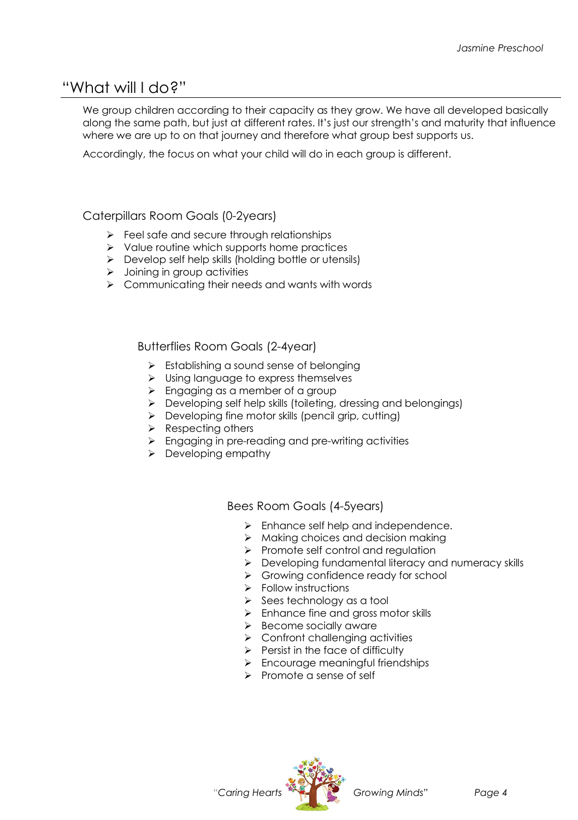## "What will I do?"

We group children according to their capacity as they grow. We have all developed basically along the same path, but just at different rates. It's just our strength's and maturity that influence where we are up to on that journey and therefore what group best supports us.

Accordingly, the focus on what your child will do in each group is different.

#### Caterpillars Room Goals (0-2years)

- $\triangleright$  Feel safe and secure through relationships
- $\triangleright$  Value routine which supports home practices
- $\triangleright$  Develop self help skills (holding bottle or utensils)
- $\triangleright$  Joining in group activities
- $\triangleright$  Communicating their needs and wants with words

Butterflies Room Goals (2-4year)

- $\triangleright$  Establishing a sound sense of belonging
- $\triangleright$  Using language to express themselves
- $\triangleright$  Engaging as a member of a group
- $\triangleright$  Developing self help skills (toileting, dressing and belongings)
- $\triangleright$  Developing fine motor skills (pencil grip, cutting)
- $\triangleright$  Respecting others
- $\triangleright$  Engaging in pre-reading and pre-writing activities
- $\triangleright$  Developing empathy

#### Bees Room Goals (4-5years)

- > Enhance self help and independence.
- $\triangleright$  Making choices and decision making
- $\triangleright$  Promote self control and regulation
- Developing fundamental literacy and numeracy skills
- $\triangleright$  Growing confidence ready for school
- $\blacktriangleright$  Follow instructions
- $\triangleright$  Sees technology as a tool
- $\triangleright$  Enhance fine and gross motor skills
- $\triangleright$  Become socially aware
- $\triangleright$  Confront challenging activities
- $\triangleright$  Persist in the face of difficulty
- $\triangleright$  Encourage meaningful friendships
- $\triangleright$  Promote a sense of self

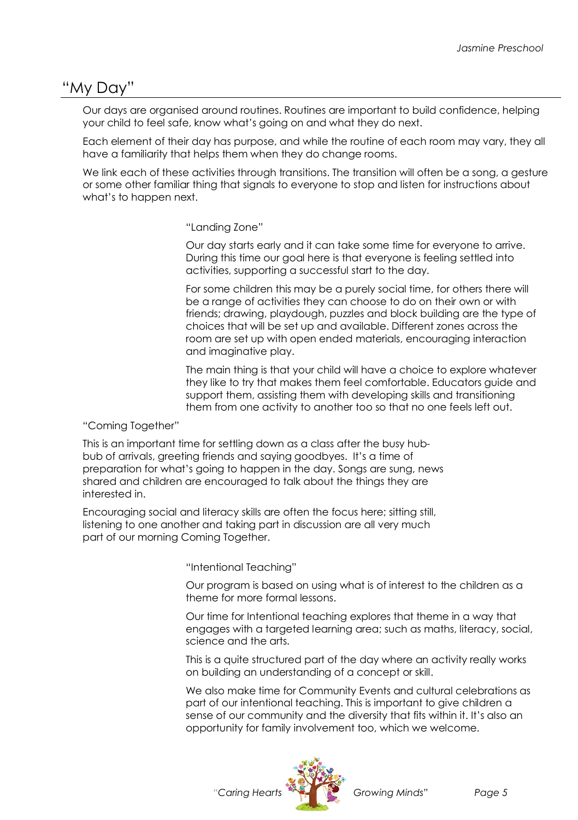### "My Day"

Our days are organised around routines. Routines are important to build confidence, helping your child to feel safe, know what's going on and what they do next.

Each element of their day has purpose, and while the routine of each room may vary, they all have a familiarity that helps them when they do change rooms.

We link each of these activities through transitions. The transition will often be a song, a gesture or some other familiar thing that signals to everyone to stop and listen for instructions about what's to happen next.

"Landing Zone"

Our day starts early and it can take some time for everyone to arrive. During this time our goal here is that everyone is feeling settled into activities, supporting a successful start to the day.

For some children this may be a purely social time, for others there will be a range of activities they can choose to do on their own or with friends; drawing, playdough, puzzles and block building are the type of choices that will be set up and available. Different zones across the room are set up with open ended materials, encouraging interaction and imaginative play.

The main thing is that your child will have a choice to explore whatever they like to try that makes them feel comfortable. Educators guide and support them, assisting them with developing skills and transitioning them from one activity to another too so that no one feels left out.

#### "Coming Together"

This is an important time for settling down as a class after the busy hubbub of arrivals, greeting friends and saying goodbyes. It's a time of preparation for what's going to happen in the day. Songs are sung, news shared and children are encouraged to talk about the things they are interested in.

Encouraging social and literacy skills are often the focus here; sitting still, listening to one another and taking part in discussion are all very much part of our morning Coming Together.

"Intentional Teaching"

Our program is based on using what is of interest to the children as a theme for more formal lessons.

Our time for Intentional teaching explores that theme in a way that engages with a targeted learning area; such as maths, literacy, social, science and the arts.

This is a quite structured part of the day where an activity really works on building an understanding of a concept or skill.

We also make time for Community Events and cultural celebrations as part of our intentional teaching. This is important to give children a sense of our community and the diversity that fits within it. It's also an opportunity for family involvement too, which we welcome.

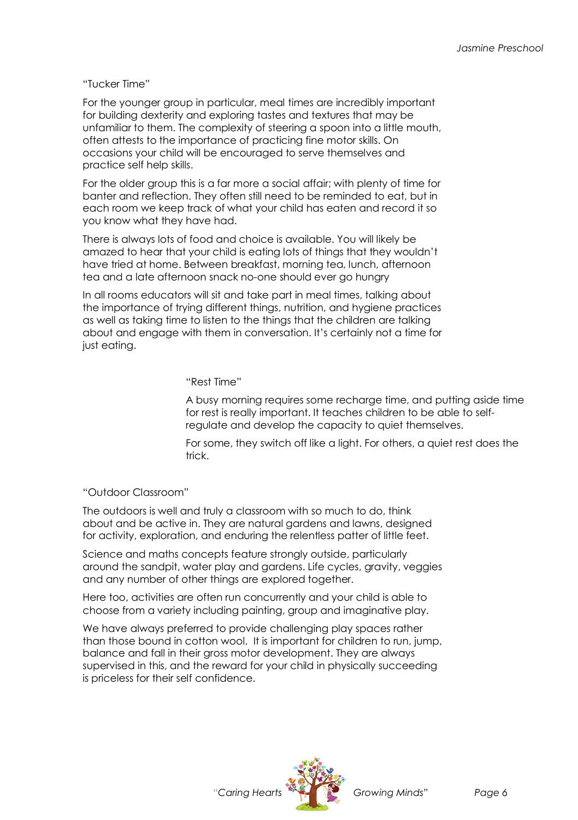"Tucker Time"

For the younger group in particular, meal times are incredibly important for building dexterity and exploring tastes and textures that may be unfamiliar to them. The complexity of steering a spoon into a little mouth, often attests to the importance of practicing fine motor skills. On occasions your child will be encouraged to serve themselves and practice self help skills.

For the older group this is a far more a social affair; with plenty of time for banter and reflection. They often still need to be reminded to eat, but in each room we keep track of what your child has eaten and record it so you know what they have had.

There is always lots of food and choice is available. You will likely be amazed to hear that your child is eating lots of things that they wouldn't have tried at home. Between breakfast, morning tea, lunch, afternoon tea and a late afternoon snack no-one should ever go hungry

In all rooms educators will sit and take part in meal times, talking about the importance of trying different things, nutrition, and hygiene practices as well as taking time to listen to the things that the children are talking about and engage with them in conversation. It's certainly not a time for just eating.

"Rest Time"

A busy morning requires some recharge time, and putting aside time for rest is really important. It teaches children to be able to selfregulate and develop the capacity to quiet themselves.

For some, they switch off like a light. For others, a quiet rest does the trick.

"Outdoor Classroom"

The outdoors is well and truly a classroom with so much to do, think about and be active in. They are natural gardens and lawns, designed for activity, exploration, and enduring the relentless patter of little feet.

Science and maths concepts feature strongly outside, particularly around the sandpit, water play and gardens. Life cycles, gravity, veggies and any number of other things are explored together.

Here too, activities are often run concurrently and your child is able to choose from a variety including painting, group and imaginative play.

We have always preferred to provide challenging play spaces rather than those bound in cotton wool. It is important for children to run, jump, balance and fall in their gross motor development. They are always supervised in this, and the reward for your child in physically succeeding is priceless for their self confidence.

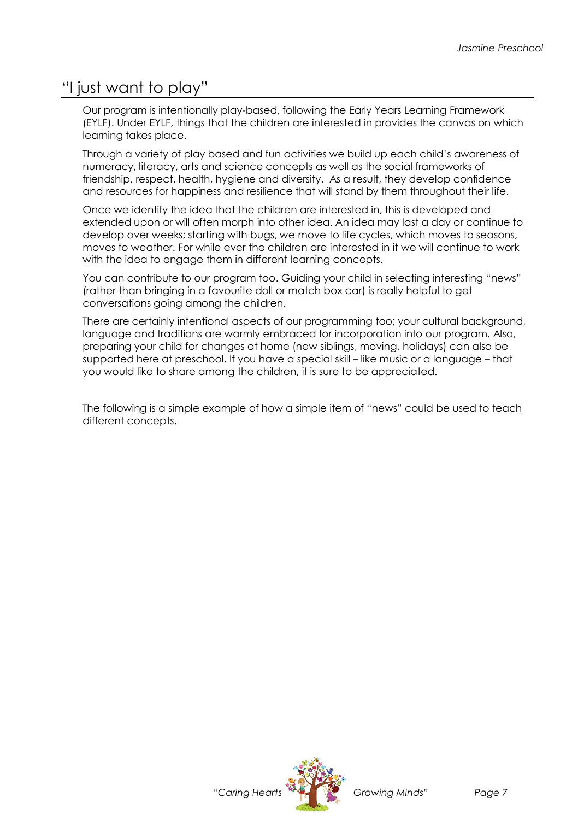# "I just want to play"

Our program is intentionally play-based, following the Early Years Learning Framework (EYLF). Under EYLF, things that the children are interested in provides the canvas on which learning takes place.

Through a variety of play based and fun activities we build up each child's awareness of numeracy, literacy, arts and science concepts as well as the social frameworks of friendship, respect, health, hygiene and diversity. As a result, they develop confidence and resources for happiness and resilience that will stand by them throughout their life.

Once we identify the idea that the children are interested in, this is developed and extended upon or will often morph into other idea. An idea may last a day or continue to develop over weeks; starting with bugs, we move to life cycles, which moves to seasons, moves to weather. For while ever the children are interested in it we will continue to work with the idea to engage them in different learning concepts.

You can contribute to our program too. Guiding your child in selecting interesting "news" (rather than bringing in a favourite doll or match box car) is really helpful to get conversations going among the children.

There are certainly intentional aspects of our programming too; your cultural background, language and traditions are warmly embraced for incorporation into our program. Also, preparing your child for changes at home (new siblings, moving, holidays) can also be supported here at preschool. If you have a special skill – like music or a language – that you would like to share among the children, it is sure to be appreciated.

The following is a simple example of how a simple item of "news" could be used to teach different concepts.

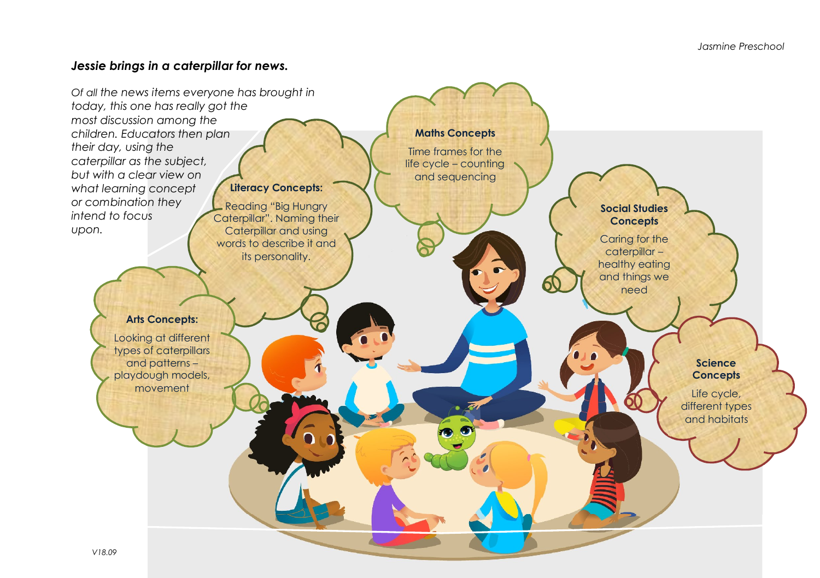### *Jessie brings in a caterpillar for news.*

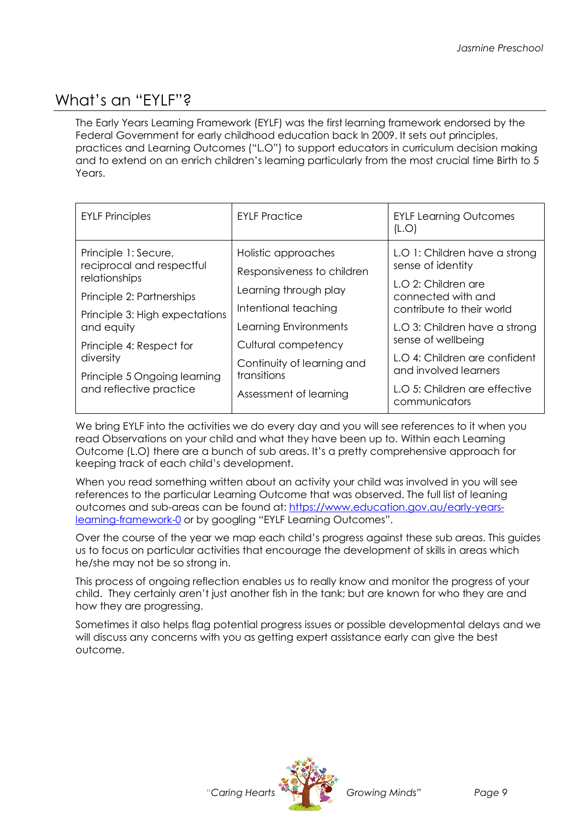# What's an "EYLF"?

The Early Years Learning Framework (EYLF) was the first learning framework endorsed by the Federal Government for early childhood education back In 2009. It sets out principles, practices and Learning Outcomes ("L.O") to support educators in curriculum decision making and to extend on an enrich children's learning particularly from the most crucial time Birth to 5 Years

| <b>EYLF Principles</b>                                  | <b>EYLF Practice</b>                              | <b>EYLF Learning Outcomes</b><br>(L.O)                                  |  |
|---------------------------------------------------------|---------------------------------------------------|-------------------------------------------------------------------------|--|
| Principle 1: Secure,<br>reciprocal and respectful       | Holistic approaches<br>Responsiveness to children | L.O 1: Children have a strong<br>sense of identity                      |  |
| relationships                                           | Learning through play                             | L.O. 2: Children are<br>connected with and<br>contribute to their world |  |
| Principle 2: Partnerships                               | Intentional teaching                              |                                                                         |  |
| Principle 3: High expectations                          |                                                   |                                                                         |  |
| and equity                                              | Learning Environments                             | L.O 3: Children have a strong                                           |  |
| Principle 4: Respect for                                | Cultural competency                               | sense of wellbeing                                                      |  |
| diversity                                               | Continuity of learning and                        | L.O 4: Children are confident<br>and involved learners                  |  |
| Principle 5 Ongoing learning<br>and reflective practice | transitions                                       |                                                                         |  |
|                                                         | Assessment of learning                            | L.O.5: Children are effective<br>communicators                          |  |

We bring EYLF into the activities we do every day and you will see references to it when you read Observations on your child and what they have been up to. Within each Learning Outcome (L.O) there are a bunch of sub areas. It's a pretty comprehensive approach for keeping track of each child's development.

When you read something written about an activity your child was involved in you will see references to the particular Learning Outcome that was observed. The full list of leaning outcomes and sub-areas can be found at: https://www.education.gov.au/early-yearslearning-framework-0 or by googling "EYLF Learning Outcomes".

Over the course of the year we map each child's progress against these sub areas. This guides us to focus on particular activities that encourage the development of skills in areas which he/she may not be so strong in.

This process of ongoing reflection enables us to really know and monitor the progress of your child. They certainly aren't just another fish in the tank; but are known for who they are and how they are progressing.

Sometimes it also helps flag potential progress issues or possible developmental delays and we will discuss any concerns with you as getting expert assistance early can give the best outcome.

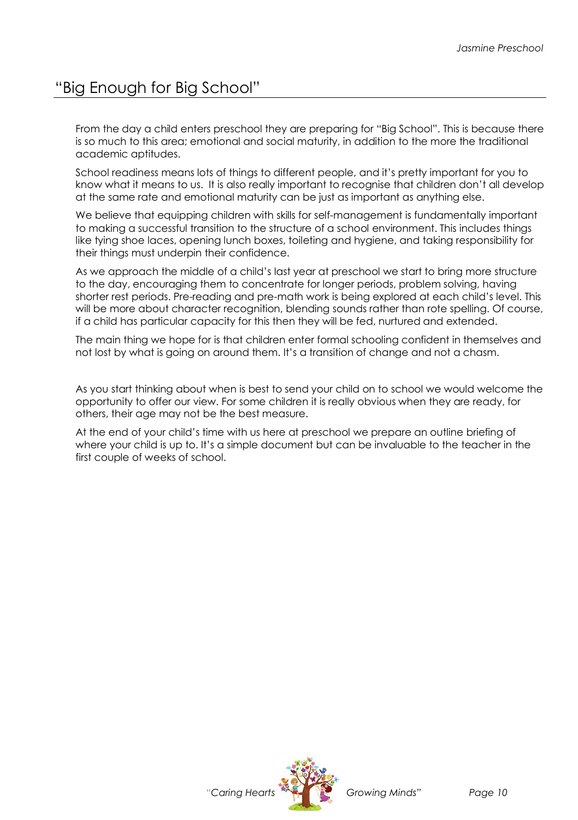# "Big Enough for Big School"

From the day a child enters preschool they are preparing for "Big School". This is because there is so much to this area; emotional and social maturity, in addition to the more the traditional academic aptitudes.

School readiness means lots of things to different people, and it's pretty important for you to know what it means to us. It is also really important to recognise that children don't all develop at the same rate and emotional maturity can be just as important as anything else.

We believe that equipping children with skills for self-management is fundamentally important to making a successful transition to the structure of a school environment. This includes things like tying shoe laces, opening lunch boxes, toileting and hygiene, and taking responsibility for their things must underpin their confidence.

As we approach the middle of a child's last year at preschool we start to bring more structure to the day, encouraging them to concentrate for longer periods, problem solving, having shorter rest periods. Pre-reading and pre-math work is being explored at each child's level. This will be more about character recognition, blending sounds rather than rote spelling. Of course, if a child has particular capacity for this then they will be fed, nurtured and extended.

The main thing we hope for is that children enter formal schooling confident in themselves and not lost by what is going on around them. It's a transition of change and not a chasm.

As you start thinking about when is best to send your child on to school we would welcome the opportunity to offer our view. For some children it is really obvious when they are ready, for others, their age may not be the best measure.

At the end of your child's time with us here at preschool we prepare an outline briefing of where your child is up to. It's a simple document but can be invaluable to the teacher in the first couple of weeks of school.

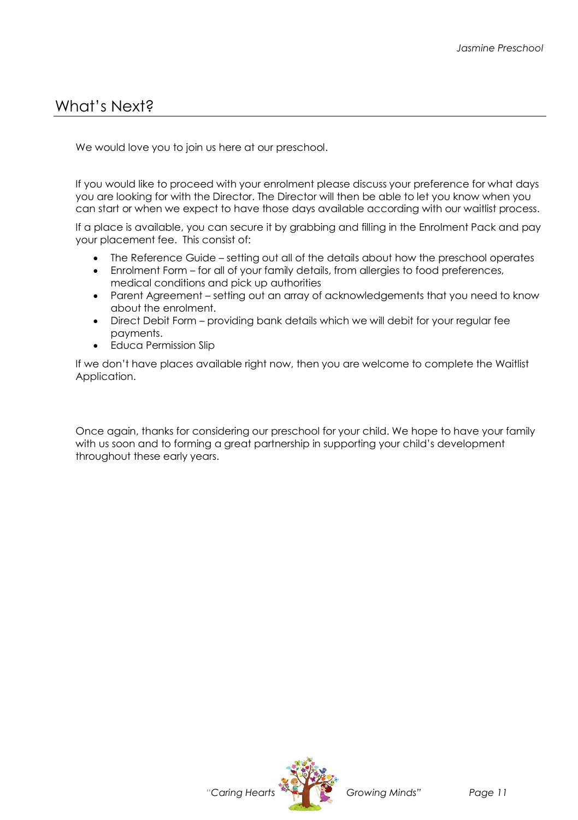## What's Next?

We would love you to join us here at our preschool.

If you would like to proceed with your enrolment please discuss your preference for what days you are looking for with the Director. The Director will then be able to let you know when you can start or when we expect to have those days available according with our waitlist process.

If a place is available, you can secure it by grabbing and filling in the Enrolment Pack and pay your placement fee. This consist of:

- The Reference Guide setting out all of the details about how the preschool operates
- Enrolment Form for all of your family details, from allergies to food preferences, medical conditions and pick up authorities
- Parent Agreement setting out an array of acknowledgements that you need to know about the enrolment.
- Direct Debit Form providing bank details which we will debit for your regular fee payments.
- Educa Permission Slip

If we don't have places available right now, then you are welcome to complete the Waitlist Application.

Once again, thanks for considering our preschool for your child. We hope to have your family with us soon and to forming a great partnership in supporting your child's development throughout these early years.